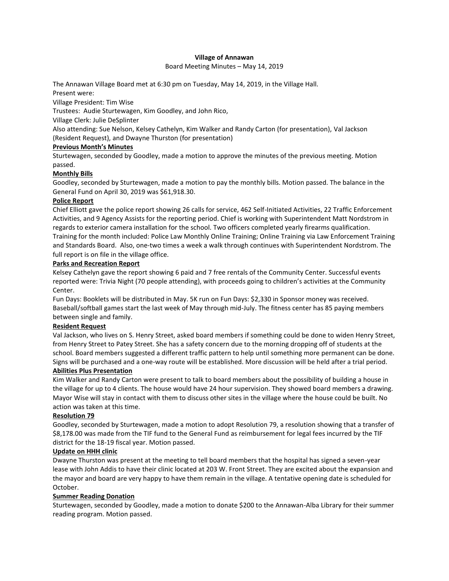#### **Village of Annawan**

#### Board Meeting Minutes – May 14, 2019

The Annawan Village Board met at 6:30 pm on Tuesday, May 14, 2019, in the Village Hall.

Present were:

Village President: Tim Wise

Trustees: Audie Sturtewagen, Kim Goodley, and John Rico,

Village Clerk: Julie DeSplinter

Also attending: Sue Nelson, Kelsey Cathelyn, Kim Walker and Randy Carton (for presentation), Val Jackson (Resident Request), and Dwayne Thurston (for presentation)

### **Previous Month's Minutes**

Sturtewagen, seconded by Goodley, made a motion to approve the minutes of the previous meeting. Motion passed.

## **Monthly Bills**

Goodley, seconded by Sturtewagen, made a motion to pay the monthly bills. Motion passed. The balance in the General Fund on April 30, 2019 was \$61,918.30.

### **Police Report**

Chief Elliott gave the police report showing 26 calls for service, 462 Self-Initiated Activities, 22 Traffic Enforcement Activities, and 9 Agency Assists for the reporting period. Chief is working with Superintendent Matt Nordstrom in regards to exterior camera installation for the school. Two officers completed yearly firearms qualification. Training for the month included: Police Law Monthly Online Training; Online Training via Law Enforcement Training and Standards Board. Also, one-two times a week a walk through continues with Superintendent Nordstrom. The full report is on file in the village office.

### **Parks and Recreation Report**

Kelsey Cathelyn gave the report showing 6 paid and 7 free rentals of the Community Center. Successful events reported were: Trivia Night (70 people attending), with proceeds going to children's activities at the Community Center.

Fun Days: Booklets will be distributed in May. 5K run on Fun Days: \$2,330 in Sponsor money was received. Baseball/softball games start the last week of May through mid-July. The fitness center has 85 paying members between single and family.

### **Resident Request**

Val Jackson, who lives on S. Henry Street, asked board members if something could be done to widen Henry Street, from Henry Street to Patey Street. She has a safety concern due to the morning dropping off of students at the school. Board members suggested a different traffic pattern to help until something more permanent can be done. Signs will be purchased and a one-way route will be established. More discussion will be held after a trial period.

### **Abilities Plus Presentation**

Kim Walker and Randy Carton were present to talk to board members about the possibility of building a house in the village for up to 4 clients. The house would have 24 hour supervision. They showed board members a drawing. Mayor Wise will stay in contact with them to discuss other sites in the village where the house could be built. No action was taken at this time.

### **Resolution 79**

Goodley, seconded by Sturtewagen, made a motion to adopt Resolution 79, a resolution showing that a transfer of \$8,178.00 was made from the TIF fund to the General Fund as reimbursement for legal fees incurred by the TIF district for the 18-19 fiscal year. Motion passed.

### **Update on HHH clinic**

Dwayne Thurston was present at the meeting to tell board members that the hospital has signed a seven-year lease with John Addis to have their clinic located at 203 W. Front Street. They are excited about the expansion and the mayor and board are very happy to have them remain in the village. A tentative opening date is scheduled for October.

## **Summer Reading Donation**

Sturtewagen, seconded by Goodley, made a motion to donate \$200 to the Annawan-Alba Library for their summer reading program. Motion passed.